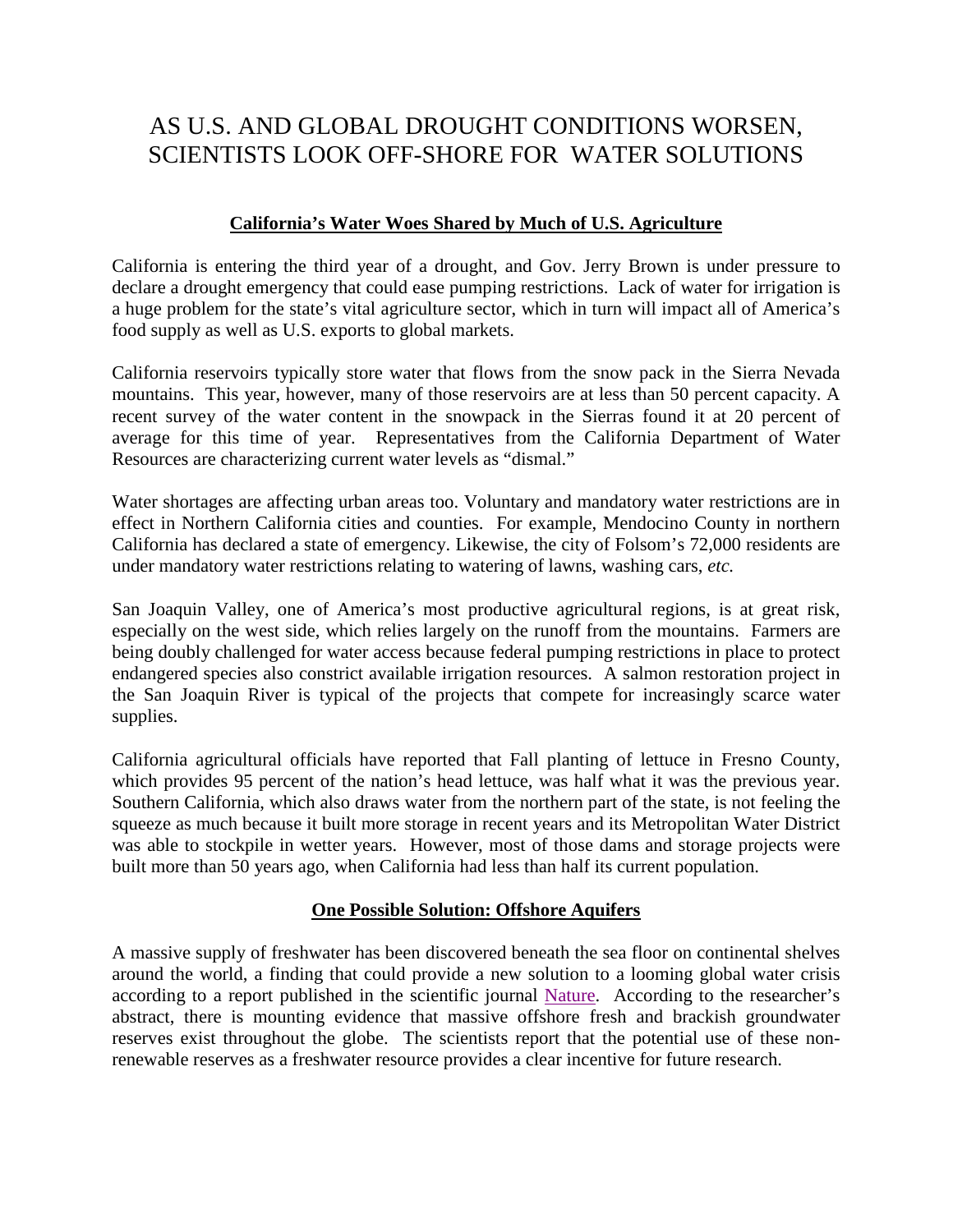# AS U.S. AND GLOBAL DROUGHT CONDITIONS WORSEN, SCIENTISTS LOOK OFF-SHORE FOR WATER SOLUTIONS

### **California's Water Woes Shared by Much of U.S. Agriculture**

California is entering the third year of a drought, and Gov. Jerry Brown is under pressure to declare a drought emergency that could ease pumping restrictions. Lack of water for irrigation is a huge problem for the state's vital agriculture sector, which in turn will impact all of America's food supply as well as U.S. exports to global markets.

California reservoirs typically store water that flows from the snow pack in the Sierra Nevada mountains. This year, however, many of those reservoirs are at less than 50 percent capacity. A recent survey of the water content in the snowpack in the Sierras found it at 20 percent of average for this time of year. Representatives from the California Department of Water Resources are characterizing current water levels as "dismal."

Water shortages are affecting urban areas too. Voluntary and mandatory water restrictions are in effect in Northern California cities and counties. For example, Mendocino County in northern California has declared a state of emergency. Likewise, the city of Folsom's 72,000 residents are under mandatory water restrictions relating to watering of lawns, washing cars, *etc.*

San Joaquin Valley, one of America's most productive agricultural regions, is at great risk, especially on the west side, which relies largely on the runoff from the mountains. Farmers are being doubly challenged for water access because federal pumping restrictions in place to protect endangered species also constrict available irrigation resources. A salmon restoration project in the San Joaquin River is typical of the projects that compete for increasingly scarce water supplies.

California agricultural officials have reported that Fall planting of lettuce in Fresno County, which provides 95 percent of the nation's head lettuce, was half what it was the previous year. Southern California, which also draws water from the northern part of the state, is not feeling the squeeze as much because it built more storage in recent years and its Metropolitan Water District was able to stockpile in wetter years. However, most of those dams and storage projects were built more than 50 years ago, when California had less than half its current population.

## **One Possible Solution: Offshore Aquifers**

A massive supply of freshwater has been discovered beneath the sea floor on continental shelves around the world, a finding that could provide a new solution to a looming global water crisis according to a report published in the scientific journal [Nature.](http://www.nature.com/nature/journal/v504/n7478/full/nature12858.html) According to the researcher's abstract, there is mounting evidence that massive offshore fresh and brackish groundwater reserves exist throughout the globe. The scientists report that the potential use of these nonrenewable reserves as a freshwater resource provides a clear incentive for future research.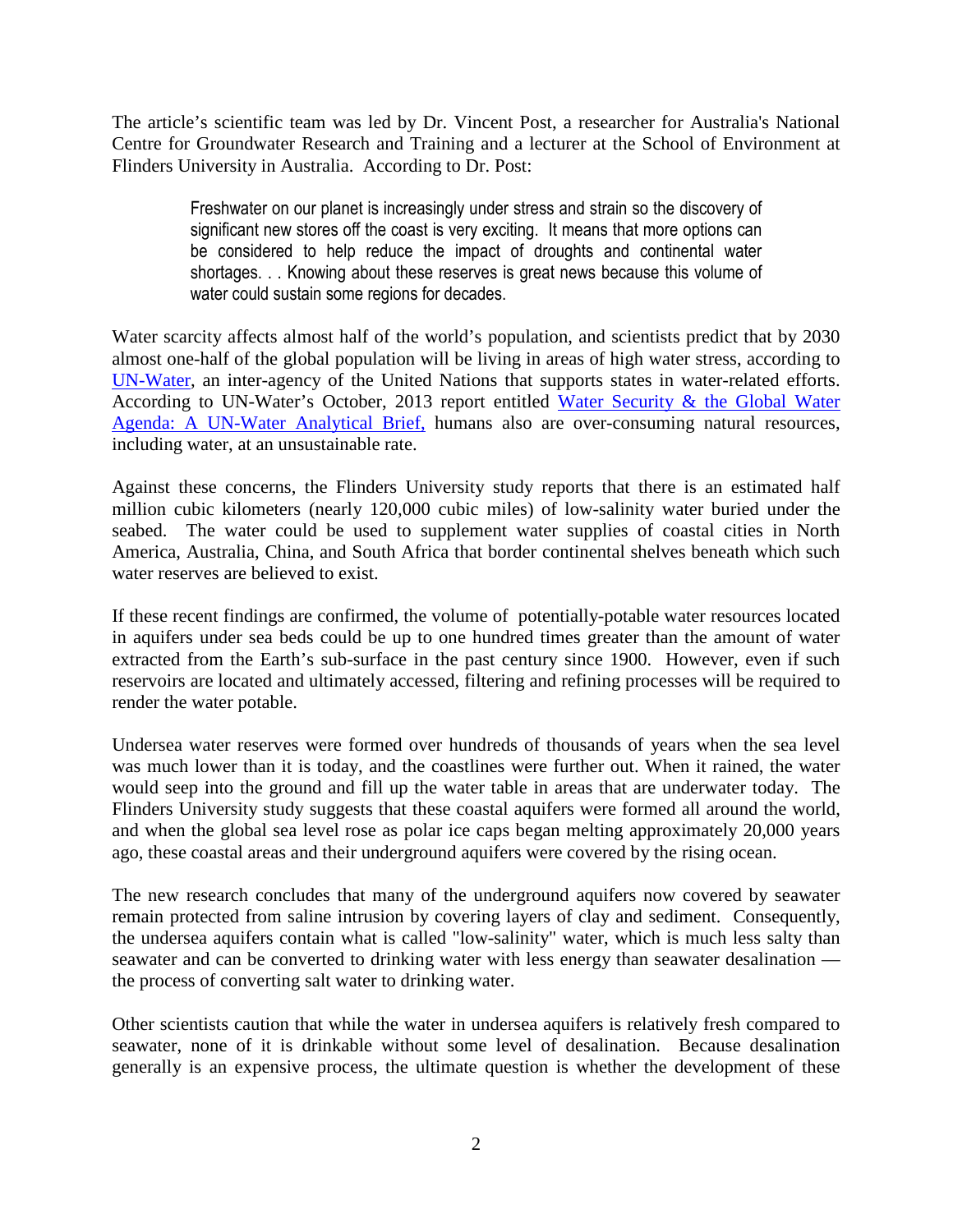The article's scientific team was led by Dr. Vincent Post, a researcher for Australia's National Centre for Groundwater Research and Training and a lecturer at the School of Environment at Flinders University in Australia. According to Dr. Post:

> Freshwater on our planet is increasingly under stress and strain so the discovery of significant new stores off the coast is very exciting. It means that more options can be considered to help reduce the impact of droughts and continental water shortages. . . Knowing about these reserves is great news because this volume of water could sustain some regions for decades.

Water scarcity affects almost half of the world's population, and scientists predict that by 2030 almost one-half of the global population will be living in areas of high water stress, according to [UN-Water,](http://www.unwater.org/) an inter-agency of the United Nations that supports states in water-related efforts. According to UN-Water's October, 2013 report entitled [Water Security & the Global Water](http://www.unwater.org/downloads/analytical_brief_oct2013_web.pdf) Agenda: A UN-Water Analytical Brief, [humans also are over-consuming natural resources,](http://www.unwater.org/downloads/analytical_brief_oct2013_web.pdf) including water, at an unsustainable rate.

Against these concerns, the Flinders University study reports that there is an estimated half million cubic kilometers (nearly 120,000 cubic miles) of low-salinity water buried under the seabed. The water could be used to supplement water supplies of coastal cities in North America, Australia, China, and South Africa that border continental shelves beneath which such water reserves are believed to exist.

If these recent findings are confirmed, the volume of potentially-potable water resources located in aquifers under sea beds could be up to one hundred times greater than the amount of water extracted from the Earth's sub-surface in the past century since 1900. However, even if such reservoirs are located and ultimately accessed, filtering and refining processes will be required to render the water potable.

Undersea water reserves were formed over hundreds of thousands of years when the sea level was much lower than it is today, and the coastlines were further out. When it rained, the water would seep into the ground and fill up the water table in areas that are underwater today. The Flinders University study suggests that these coastal aquifers were formed all around the world, and when the global sea level rose as polar ice caps began melting approximately 20,000 years ago, these coastal areas and their underground aquifers were covered by the rising ocean.

The new research concludes that many of the underground aquifers now covered by seawater remain protected from saline intrusion by covering layers of clay and sediment. Consequently, the undersea aquifers contain what is called "low-salinity" water, which is much less salty than seawater and can be converted to drinking water with less energy than seawater desalination the process of converting salt water to drinking water.

Other scientists caution that while the water in undersea aquifers is relatively fresh compared to seawater, none of it is drinkable without some level of desalination. Because desalination generally is an expensive process, the ultimate question is whether the development of these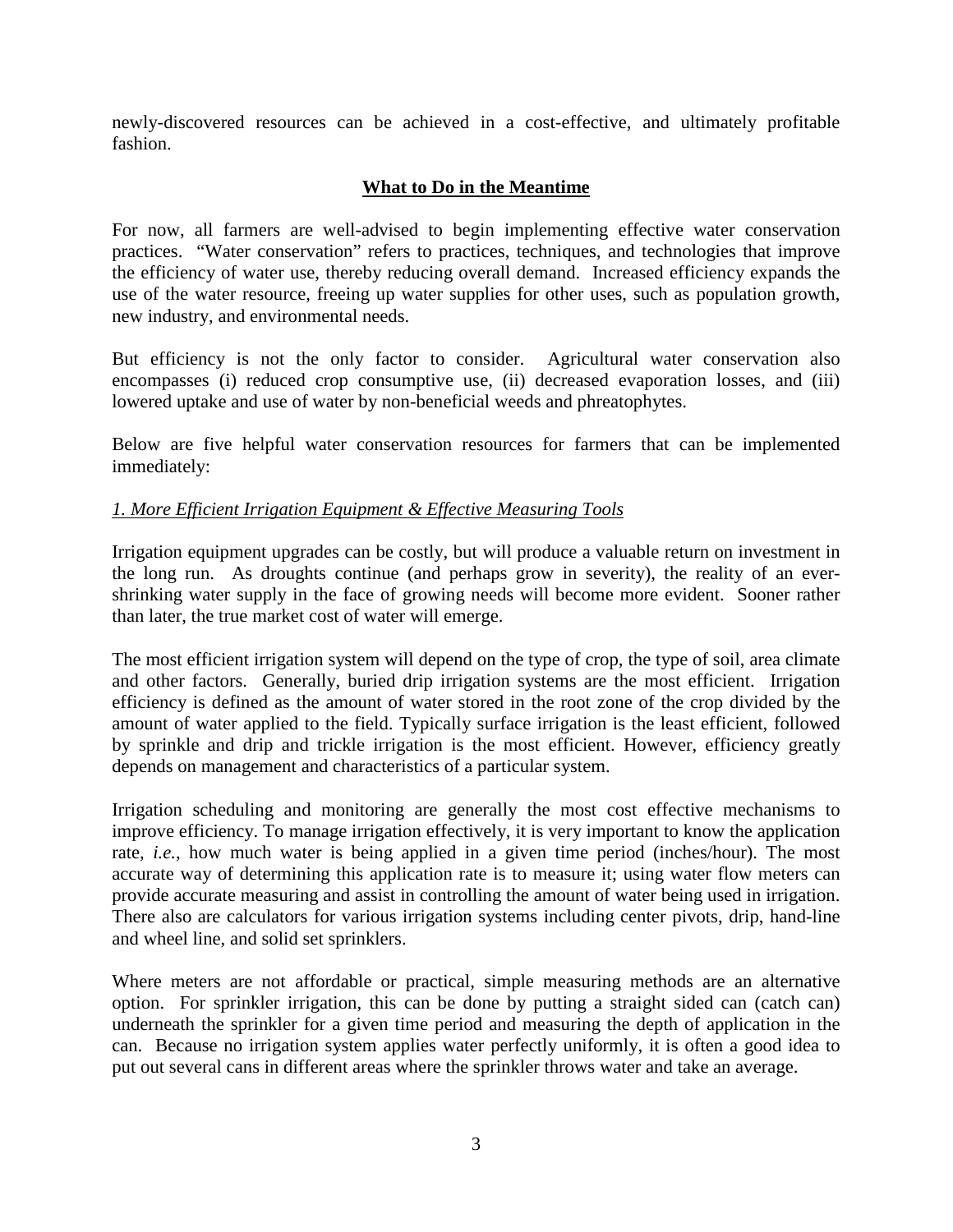newly-discovered resources can be achieved in a cost-effective, and ultimately profitable fashion.

# **What to Do in the Meantime**

For now, all farmers are well-advised to begin implementing effective water conservation practices. "Water conservation" refers to practices, techniques, and technologies that improve the efficiency of water use, thereby reducing overall demand. Increased efficiency expands the use of the water resource, freeing up water supplies for other uses, such as population growth, new industry, and environmental needs.

But efficiency is not the only factor to consider. Agricultural water conservation also encompasses (i) reduced crop consumptive use, (ii) decreased evaporation losses, and (iii) lowered uptake and use of water by non-beneficial weeds and phreatophytes.

Below are five helpful water conservation resources for farmers that can be implemented immediately:

### *1. More Efficient Irrigation Equipment & Effective Measuring Tools*

Irrigation equipment upgrades can be costly, but will produce a valuable return on investment in the long run. As droughts continue (and perhaps grow in severity), the reality of an evershrinking water supply in the face of growing needs will become more evident. Sooner rather than later, the true market cost of water will emerge.

The most efficient irrigation system will depend on the type of crop, the type of soil, area climate and other factors. Generally, buried drip irrigation systems are the most efficient. Irrigation efficiency is defined as the amount of water stored in the root zone of the crop divided by the amount of water applied to the field. Typically surface irrigation is the least efficient, followed by sprinkle and drip and trickle irrigation is the most efficient. However, efficiency greatly depends on management and characteristics of a particular system.

Irrigation scheduling and monitoring are generally the most cost effective mechanisms to improve efficiency. To manage irrigation effectively, it is very important to know the application rate, *i.e.*, how much water is being applied in a given time period (inches/hour). The most accurate way of determining this application rate is to measure it; using water flow meters can provide accurate measuring and assist in controlling the amount of water being used in irrigation. There also are calculators for various irrigation systems including center pivots, drip, hand-line and wheel line, and solid set sprinklers.

Where meters are not affordable or practical, simple measuring methods are an alternative option. For sprinkler irrigation, this can be done by putting a straight sided can (catch can) underneath the sprinkler for a given time period and measuring the depth of application in the can. Because no irrigation system applies water perfectly uniformly, it is often a good idea to put out several cans in different areas where the sprinkler throws water and take an average.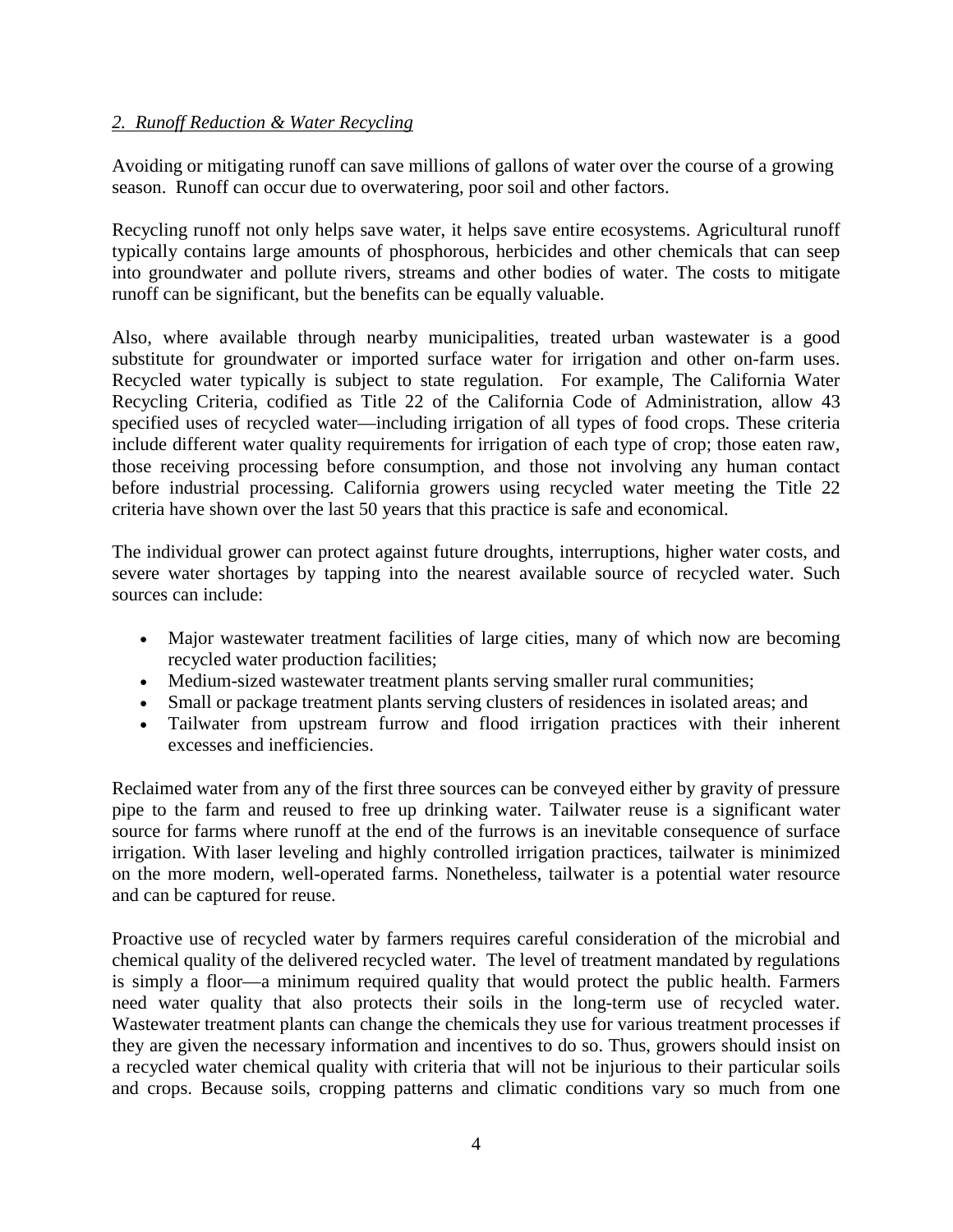### *2. Runoff Reduction & Water Recycling*

Avoiding or mitigating runoff can save millions of gallons of water over the course of a growing season. Runoff can occur due to overwatering, poor soil and other factors.

Recycling runoff not only helps save water, it helps save entire ecosystems. Agricultural runoff typically contains large amounts of phosphorous, herbicides and other chemicals that can seep into groundwater and pollute rivers, streams and other bodies of water. The costs to mitigate runoff can be significant, but the benefits can be equally valuable.

Also, where available through nearby municipalities, treated urban wastewater is a good substitute for groundwater or imported surface water for irrigation and other on-farm uses. Recycled water typically is subject to state regulation. For example, The California Water Recycling Criteria, codified as Title 22 of the California Code of Administration, allow 43 specified uses of recycled water—including irrigation of all types of food crops. These criteria include different water quality requirements for irrigation of each type of crop; those eaten raw, those receiving processing before consumption, and those not involving any human contact before industrial processing. California growers using recycled water meeting the Title 22 criteria have shown over the last 50 years that this practice is safe and economical.

The individual grower can protect against future droughts, interruptions, higher water costs, and severe water shortages by tapping into the nearest available source of recycled water. Such sources can include:

- Major wastewater treatment facilities of large cities, many of which now are becoming recycled water production facilities;
- Medium-sized wastewater treatment plants serving smaller rural communities;
- Small or package treatment plants serving clusters of residences in isolated areas; and
- Tailwater from upstream furrow and flood irrigation practices with their inherent excesses and inefficiencies.

Reclaimed water from any of the first three sources can be conveyed either by gravity of pressure pipe to the farm and reused to free up drinking water. Tailwater reuse is a significant water source for farms where runoff at the end of the furrows is an inevitable consequence of surface irrigation. With laser leveling and highly controlled irrigation practices, tailwater is minimized on the more modern, well-operated farms. Nonetheless, tailwater is a potential water resource and can be captured for reuse.

Proactive use of recycled water by farmers requires careful consideration of the microbial and chemical quality of the delivered recycled water. The level of treatment mandated by regulations is simply a floor—a minimum required quality that would protect the public health. Farmers need water quality that also protects their soils in the long-term use of recycled water. Wastewater treatment plants can change the chemicals they use for various treatment processes if they are given the necessary information and incentives to do so. Thus, growers should insist on a recycled water chemical quality with criteria that will not be injurious to their particular soils and crops. Because soils, cropping patterns and climatic conditions vary so much from one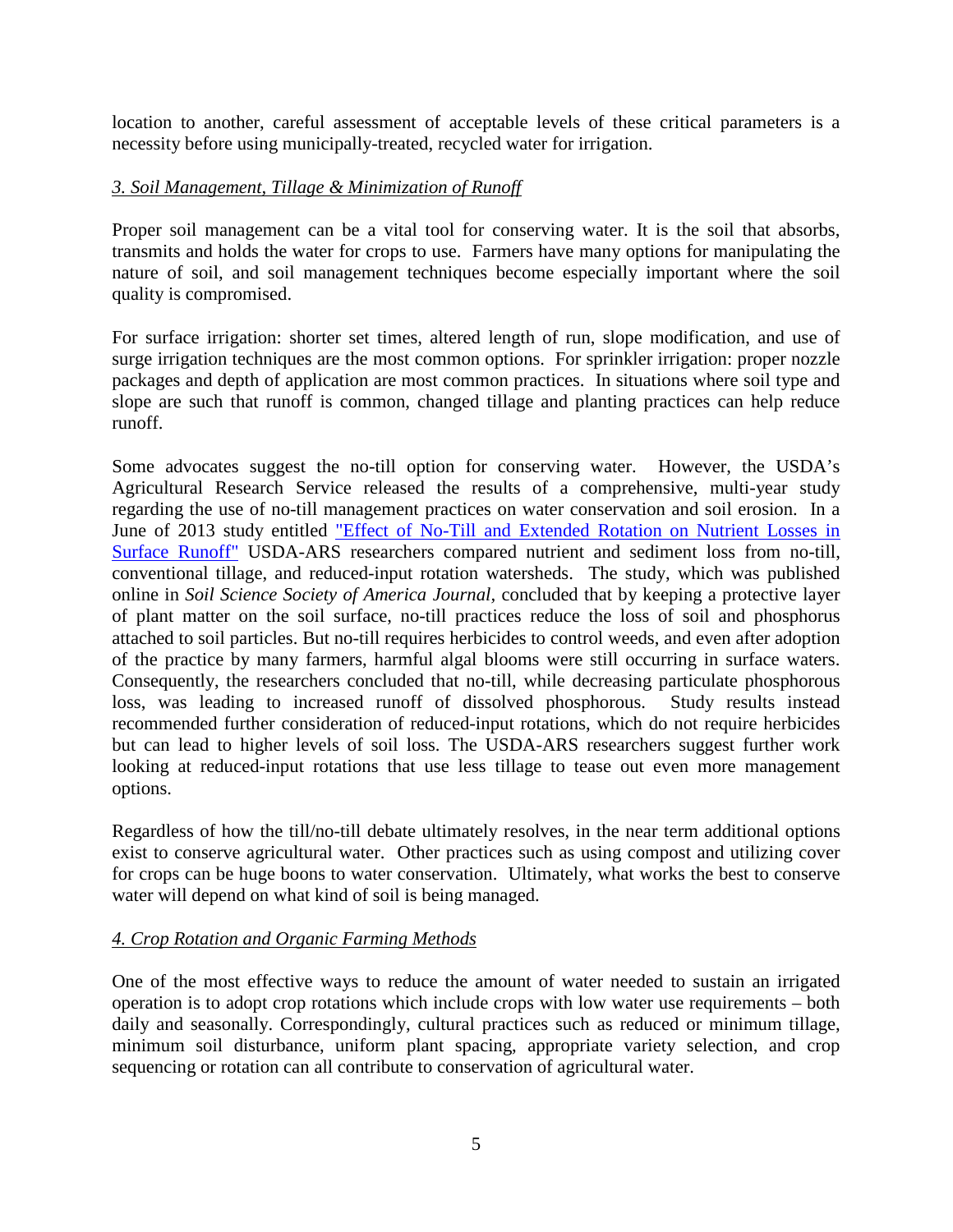location to another, careful assessment of acceptable levels of these critical parameters is a necessity before using municipally-treated, recycled water for irrigation.

## *3. Soil Management, Tillage & Minimization of Runoff*

Proper soil management can be a vital tool for conserving water. It is the soil that absorbs, transmits and holds the water for crops to use. Farmers have many options for manipulating the nature of soil, and soil management techniques become especially important where the soil quality is compromised.

For surface irrigation: shorter set times, altered length of run, slope modification, and use of surge irrigation techniques are the most common options. For sprinkler irrigation: proper nozzle packages and depth of application are most common practices. In situations where soil type and slope are such that runoff is common, changed tillage and planting practices can help reduce runoff.

Some advocates suggest the no-till option for conserving water. However, the USDA's Agricultural Research Service released the results of a comprehensive, multi-year study regarding the use of no-till management practices on water conservation and soil erosion. In a June of 2013 study entitled ["Effect of No-Till and Extended Rotation on Nutrient Losses in](https://www.soils.org/publications/sssaj/abstracts/77/4/1329) Surface Runoff" [USDA-ARS researchers compared nutrient and sediment loss from no-till,](https://www.soils.org/publications/sssaj/abstracts/77/4/1329) conventional tillage, and reduced-input rotation watersheds. The study, which was published online in *Soil Science Society of America Journal,* concluded that by keeping a protective layer of plant matter on the soil surface, no-till practices reduce the loss of soil and phosphorus attached to soil particles. But no-till requires herbicides to control weeds, and even after adoption of the practice by many farmers, harmful algal blooms were still occurring in surface waters. Consequently, the researchers concluded that no-till, while decreasing particulate phosphorous loss, was leading to increased runoff of dissolved phosphorous. Study results instead recommended further consideration of reduced-input rotations, which do not require herbicides but can lead to higher levels of soil loss. The USDA-ARS researchers suggest further work looking at reduced-input rotations that use less tillage to tease out even more management options.

Regardless of how the till/no-till debate ultimately resolves, in the near term additional options exist to conserve agricultural water. Other practices such as using compost and utilizing cover for crops can be huge boons to water conservation. Ultimately, what works the best to conserve water will depend on what kind of soil is being managed.

#### *4. Crop Rotation and Organic Farming Methods*

One of the most effective ways to reduce the amount of water needed to sustain an irrigated operation is to adopt crop rotations which include crops with low water use requirements – both daily and seasonally. Correspondingly, cultural practices such as reduced or minimum tillage, minimum soil disturbance, uniform plant spacing, appropriate variety selection, and crop sequencing or rotation can all contribute to conservation of agricultural water.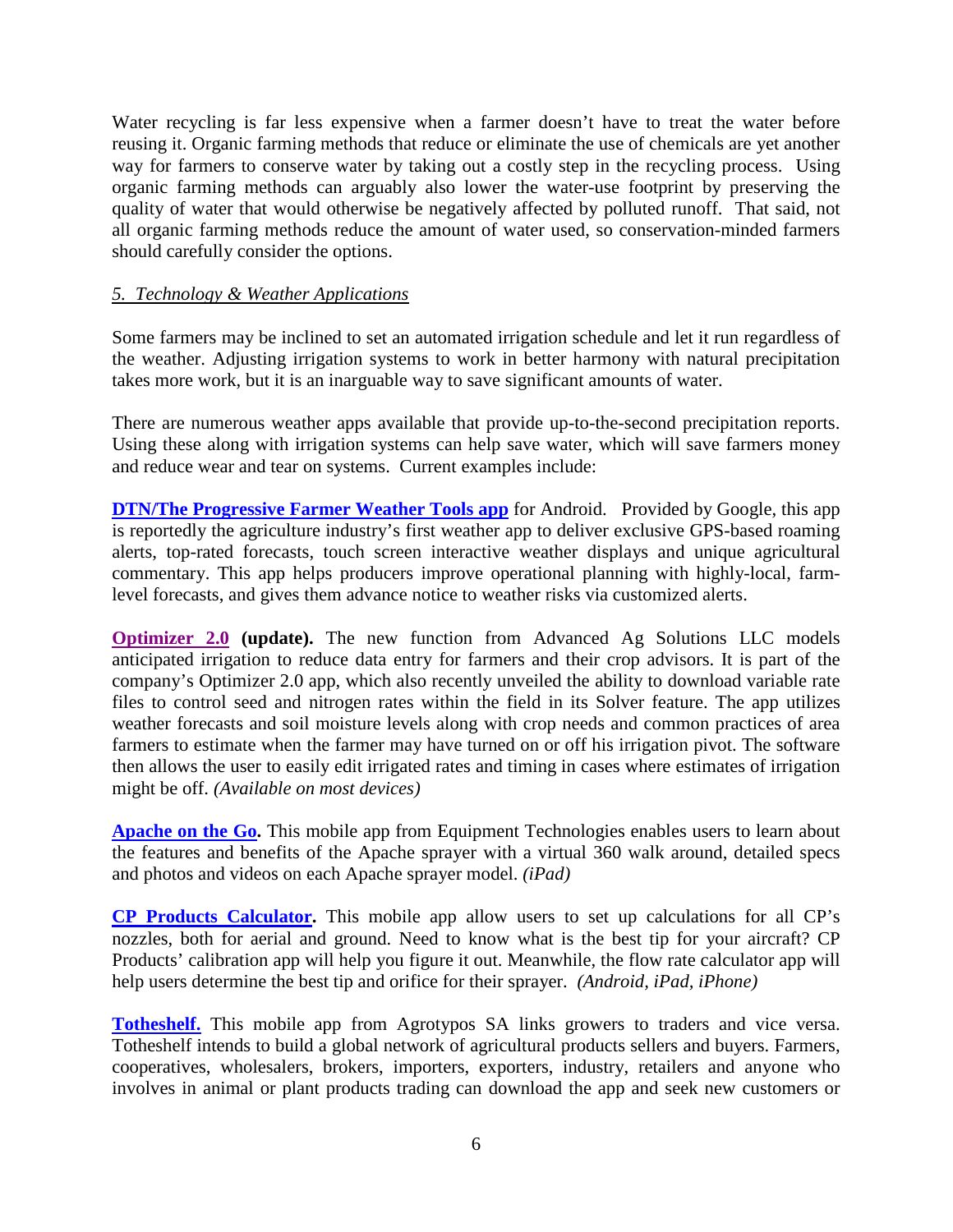Water recycling is far less expensive when a farmer doesn't have to treat the water before reusing it. Organic farming methods that reduce or eliminate the use of chemicals are yet another way for farmers to conserve water by taking out a costly step in the recycling process. Using organic farming methods can arguably also lower the water-use footprint by preserving the quality of water that would otherwise be negatively affected by polluted runoff. That said, not all organic farming methods reduce the amount of water used, so conservation-minded farmers should carefully consider the options.

#### *5. Technology & Weather Applications*

Some farmers may be inclined to set an automated irrigation schedule and let it run regardless of the weather. Adjusting irrigation systems to work in better harmony with natural precipitation takes more work, but it is an inarguable way to save significant amounts of water.

There are numerous weather apps available that provide up-to-the-second precipitation reports. Using these along with irrigation systems can help save water, which will save farmers money and reduce wear and tear on systems. Current examples include:

**[DTN/The Progressive Farmer Weather Tools app](https://play.google.com/store/apps/details?id=com.telventdtn.agweather)** for Android. Provided by Google, this app is reportedly the agriculture industry's first weather app to deliver exclusive GPS-based roaming alerts, top-rated forecasts, touch screen interactive weather displays and unique agricultural commentary. This app helps producers improve operational planning with highly-local, farmlevel forecasts, and gives them advance notice to weather risks via customized alerts.

**[Optimizer 2.0](http://www.optmzr.co/) (update).** The new function from Advanced Ag Solutions LLC models anticipated irrigation to reduce data entry for farmers and their crop advisors. It is part of the company's Optimizer 2.0 app, which also recently unveiled the ability to download variable rate files to control seed and nitrogen rates within the field in its Solver feature. The app utilizes weather forecasts and soil moisture levels along with crop needs and common practices of area farmers to estimate when the farmer may have turned on or off his irrigation pivot. The software then allows the user to easily edit irrigated rates and timing in cases where estimates of irrigation might be off. *(Available on most devices)*

**[Apache on the Go](https://itunes.apple.com/us/app/apache-on-the-go/id706257428?mt=8).** This mobile app from Equipment Technologies enables users to learn about the features and benefits of the Apache sprayer with a virtual 360 walk around, detailed specs and photos and videos on each Apache sprayer model. *(iPad)*

**[CP Products Calculator.](https://play.google.com/store/apps/details?id=com.cpproductscalculator)** This mobile app allow users to set up calculations for all CP's nozzles, both for aerial and ground. Need to know what is the best tip for your aircraft? CP Products' calibration app will help you figure it out. Meanwhile, the flow rate calculator app will help users determine the best tip and orifice for their sprayer. *(Android, iPad, iPhone)*

**[Totheshelf.](http://www.totheshelf.com/index.html)** This mobile app from Agrotypos SA links growers to traders and vice versa. Totheshelf intends to build a global network of agricultural products sellers and buyers. Farmers, cooperatives, wholesalers, brokers, importers, exporters, industry, retailers and anyone who involves in animal or plant products trading can download the app and seek new customers or